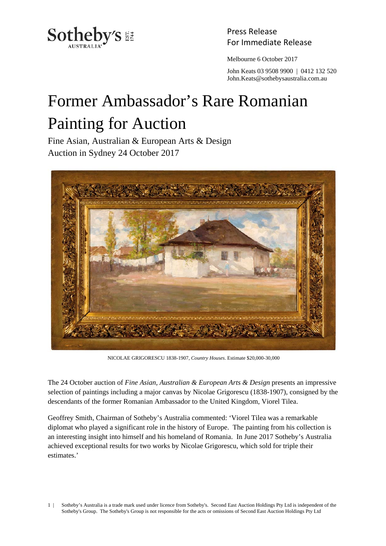

Press Release

Melbourne 6 October 2017

 John Keats 03 9508 9900 | 0412 132 520 John.Keats@sothebysaustralia.com.au

## Former Ambassador's Rare Romanian Painting for Auction

Fine Asian, Australian & European Arts & Design Auction in Sydney 24 October 2017



NICOLAE GRIGORESCU 1838-1907, *Country Houses*. Estimate \$20,000-30,000

The 24 October auction of *Fine Asian, Australian & European Arts & Design* presents an impressive selection of paintings including a major canvas by Nicolae Grigorescu (1838-1907), consigned by the descendants of the former Romanian Ambassador to the United Kingdom, Viorel Tilea.

Geoffrey Smith, Chairman of Sotheby's Australia commented: 'Viorel Tilea was a remarkable diplomat who played a significant role in the history of Europe. The painting from his collection is an interesting insight into himself and his homeland of Romania. In June 2017 Sotheby's Australia achieved exceptional results for two works by Nicolae Grigorescu, which sold for triple their estimates.'

1 | Sotheby's Australia is a trade mark used under licence from Sotheby's. Second East Auction Holdings Pty Ltd is independent of the Sotheby's Group. The Sotheby's Group is not responsible for the acts or omissions of Second East Auction Holdings Pty Ltd